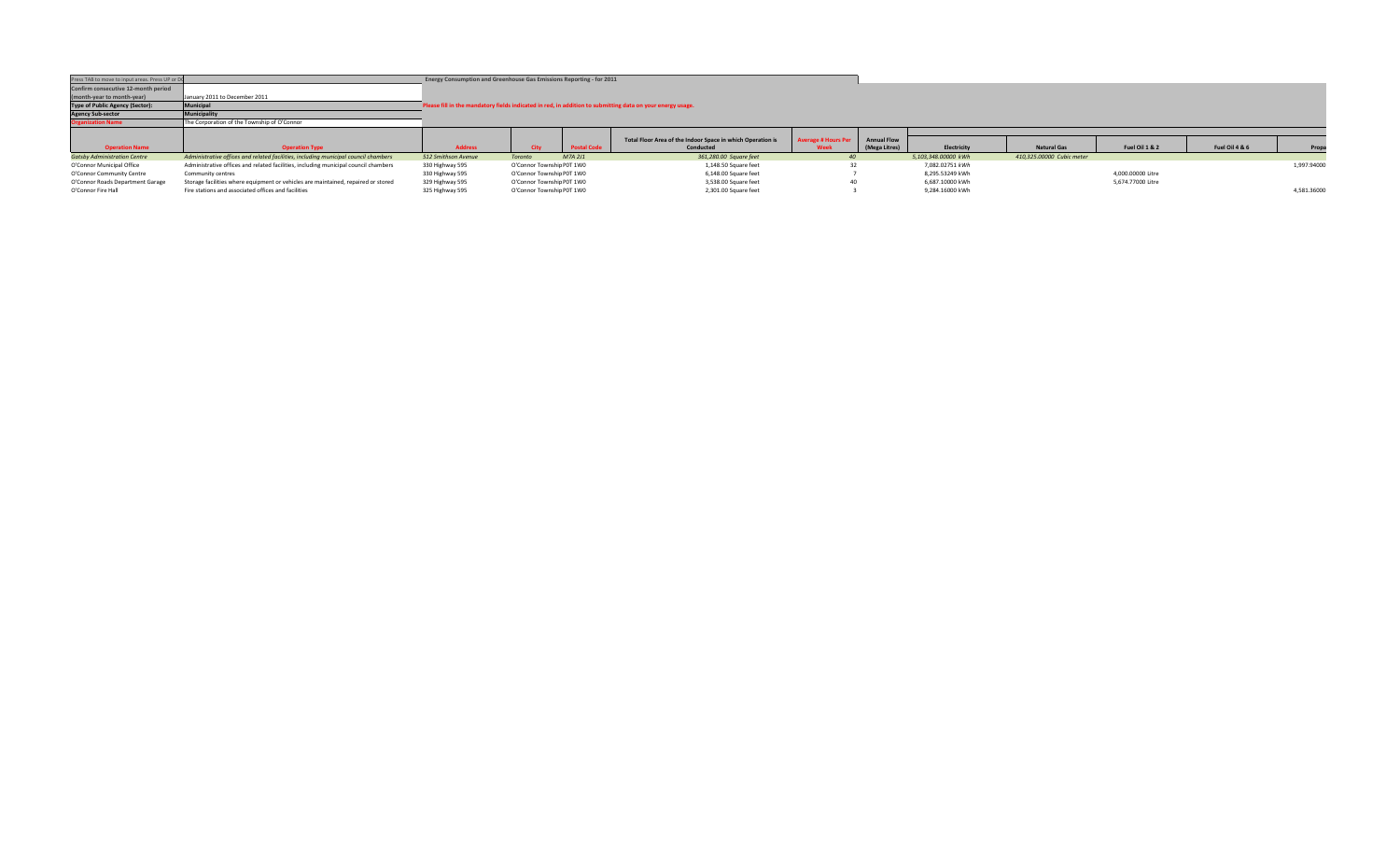| Press TAB to move to input areas. Press UP or DC |                                                                                     | Energy Consumption and Greenhouse Gas Emissions Reporting - for 2011 |                           |                    |                                                                                                            |                            |                    |                     |                           |                   |                |             |
|--------------------------------------------------|-------------------------------------------------------------------------------------|----------------------------------------------------------------------|---------------------------|--------------------|------------------------------------------------------------------------------------------------------------|----------------------------|--------------------|---------------------|---------------------------|-------------------|----------------|-------------|
| Confirm consecutive 12-month period              |                                                                                     |                                                                      |                           |                    |                                                                                                            |                            |                    |                     |                           |                   |                |             |
| (month-year to month-year)                       | January 2011 to December 2011                                                       |                                                                      |                           |                    |                                                                                                            |                            |                    |                     |                           |                   |                |             |
| <b>Type of Public Agency (Sector):</b>           | Municipal                                                                           |                                                                      |                           |                    | Please fill in the mandatory fields indicated in red, in addition to submitting data on your energy usage. |                            |                    |                     |                           |                   |                |             |
| <b>Agency Sub-sector</b>                         | Municipality                                                                        |                                                                      |                           |                    |                                                                                                            |                            |                    |                     |                           |                   |                |             |
| <b>Organization Name</b>                         | The Corporation of the Township of O'Connor                                         |                                                                      |                           |                    |                                                                                                            |                            |                    |                     |                           |                   |                |             |
|                                                  |                                                                                     |                                                                      |                           |                    |                                                                                                            |                            |                    |                     |                           |                   |                |             |
|                                                  |                                                                                     |                                                                      |                           |                    |                                                                                                            |                            |                    |                     |                           |                   |                |             |
|                                                  |                                                                                     |                                                                      |                           |                    | Total Floor Area of the Indoor Space in which Operation is                                                 | <b>Average # Hours Per</b> | <b>Annual Flow</b> |                     |                           |                   |                |             |
| <b>Operation Name</b>                            | <b>Operation Type</b>                                                               | <b>Address</b>                                                       |                           | <b>Postal Code</b> | Conducted                                                                                                  | Week                       | (Mega Litres)      | Electricity         | <b>Natural Gas</b>        | Fuel Oil 1 & 2    | Fuel Oil 4 & 6 | Propa       |
| <b>Gatsby Administration Centre</b>              | Administrative offices and related facilities, including municipal council chambers | 512 Smithson Avenue                                                  | <b>Toronto</b>            | M7A 2J1            | 361,280.00 Square feet                                                                                     |                            |                    | 5.103.348.00000 kWh | 410.325.00000 Cubic meter |                   |                |             |
| O'Connor Municipal Office                        | Administrative offices and related facilities, including municipal council chambers | 330 Highway 595                                                      | O'Connor Township P0T 1W0 |                    | 1,148.50 Square feet                                                                                       |                            |                    | 7.082.02751 kWh     |                           |                   |                | 1,997.94000 |
| O'Connor Community Centre                        | Community centres                                                                   | 330 Highway 595                                                      | O'Connor Township P0T 1W0 |                    | 6,148.00 Square feet                                                                                       |                            |                    | 8.295.53249 kWh     |                           | 4,000.00000 Litre |                |             |
| O'Connor Roads Department Garage                 | Storage facilities where equipment or vehicles are maintained, repaired or stored   | 329 Highway 595                                                      | O'Connor Township P0T 1W0 |                    | 3,538.00 Square feet                                                                                       | 40                         |                    | 6.687.10000 kWh     |                           | 5,674.77000 Litre |                |             |